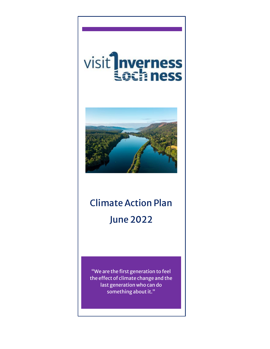# visit Inverness



## Climate Action Plan June 2022

"We are the first generation to feel the effect of climate change and the last generation who can do something about it."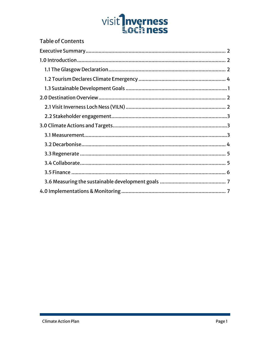## visit<sup>1</sup>nverness

| Table of Contents |
|-------------------|
|                   |
|                   |
|                   |
|                   |
|                   |
|                   |
|                   |
|                   |
|                   |
|                   |
|                   |
|                   |
|                   |
|                   |
|                   |
|                   |
|                   |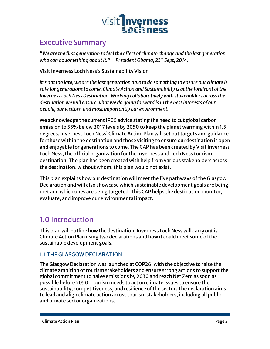

#### <span id="page-2-0"></span>Executive Summary

*"We are the first generation to feel the effect of climate change and the last generation who can do something about it." – President Obama, 23rd Sept, 2014.*

Visit Inverness Loch Ness's Sustainability Vision

*It's not too late, we are the last generation able to do something to ensure our climate is safe for generations to come. Climate Action and Sustainability is at the forefront of the Inverness Loch Ness Destination. Working collaboratively with stakeholders across the destination we will ensure what we do going forward is in the best interests of our people, our visitors, and most importantly our environment.* 

We acknowledge the current IPCC advice stating the need to cut global carbon emission to 55% below 2017 levels by 2050 to keep the planet warming within 1.5 degrees. Inverness Loch Ness' Climate Action Plan will set out targets and guidance for those within the destination and those visiting to ensure our destination is open and enjoyable for generations to come. The CAP has been created by Visit Inverness Loch Ness, the official organization for the Inverness and Loch Ness tourism destination. The plan has been created with help from various stakeholders across the destination, without whom, this plan would not exist.

This plan explains how our destination will meet the five pathways of the Glasgow Declaration and will also showcase which sustainable development goals are being met and which ones are being targeted. This CAP helps the destination monitor, evaluate, and improve our environmental impact.

#### <span id="page-2-1"></span>1.0 Introduction

This plan will outline how the destination, Inverness Loch Ness will carry out is Climate Action Plan using two declarations and how it could meet some of the sustainable development goals.

#### <span id="page-2-2"></span>1.1 THE GLASGOW DECLARATION

The Glasgow Declaration was launched at COP26, with the objective to raise the climate ambition of tourism stakeholders and ensure strong actions to support the global commitment to halve emissions by 2030 and reach Net Zero as soon as possible before 2050. Tourism needs to act on climate issues to ensure the sustainability, competitiveness, and resilience of the sector. The declaration aims to lead and align climate action across tourism stakeholders, including all public and private sector organizations.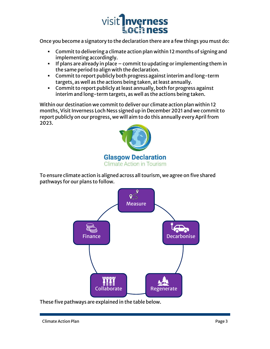

Once you become a signatory to the declaration there are a few things you must do:

- Commit to delivering a climate action plan within 12 months of signing and implementing accordingly.
- $\blacksquare$  If plans are already in place commit to updating or implementing them in the same period to align with the declaration.
- Commit to report publicly both progress against interim and long-term targets, as well as the actions being taken, at least annually.
- Commit to report publicly at least annually, both for progress against interim and long-term targets, as well as the actions being taken.

Within our destination we commit to deliver our climate action plan within 12 months, Visit Inverness Loch Ness signed up in December 2021 and we commit to report publicly on our progress, we will aim to do this annually every April from 2023.



To ensure climate action is aligned across all tourism, we agree on five shared pathways for our plans to follow.



These five pathways are explained in the table below.

Climate Action Plan Page 3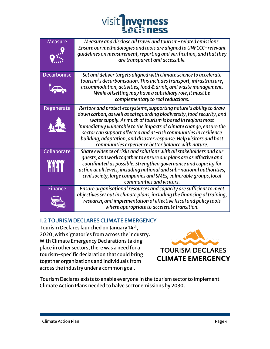## visit<sup>1</sup>nverness **Lochness**

| <b>Measure</b>     | Measure and disclose all travel and tourism-related emissions.            |
|--------------------|---------------------------------------------------------------------------|
|                    | Ensure our methodologies and tools are aligned to UNFCCC-relevant         |
|                    | guidelines on measurement, reporting and verification, and that they      |
|                    | are transparent and accessible.                                           |
|                    |                                                                           |
|                    |                                                                           |
| <b>Decarbonise</b> | Set and deliver targets aligned with climate science to accelerate        |
|                    | tourism's decarbonisation. This includes transport, infrastructure,       |
|                    | accommodation, activities, food & drink, and waste management.            |
|                    | While offsetting may have a subsidiary role, it must be                   |
|                    | complementary to real reductions.                                         |
|                    |                                                                           |
| Regenerate         | Restore and protect ecosystems, supporting nature's ability to draw       |
|                    | down carbon, as well as safequarding biodiversity, food security, and     |
|                    | water supply. As much of tourism is based in regions most                 |
|                    | immediately vulnerable to the impacts of climate change, ensure the       |
|                    | sector can support affected and at-risk communities in resilience         |
|                    | building, adaptation, and disaster response. Help visitors and host       |
|                    | communities experience better balance with nature.                        |
| Collaborate        | Share evidence of risks and solutions with all stakeholders and our       |
|                    | quests, and work together to ensure our plans are as effective and        |
| <b>PAPAPAPY</b>    | coordinated as possible. Strengthen governance and capacity for           |
|                    | action at all levels, including national and sub-national authorities,    |
|                    | civil society, large companies and SMEs, vulnerable groups, local         |
|                    | communities and visitors.                                                 |
| <b>Finance</b>     | Ensure organisational resources and capacity are sufficient to meet       |
|                    | objectives set out in climate plans, including the financing of training, |
|                    |                                                                           |
|                    | research, and implementation of effective fiscal and policy tools         |
|                    | where appropriate to accelerate transition.                               |

#### <span id="page-4-0"></span>1.2 TOURISM DECLARES CLIMATE EMERGENCY

Tourism Declares launched on January 14th , 2020, with signatories from across the industry. With Climate Emergency Declarations taking place in other sectors, there was a need for a tourism-specific declaration that could bring together organizations and individuals from across the industry under a common goal.



Tourism Declares exists to enable everyone in the tourism sector to implement Climate Action Plans needed to halve sector emissions by 2030.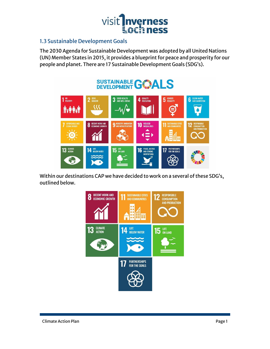

#### <span id="page-5-0"></span>1.3 Sustainable Development Goals

The 2030 Agenda for Sustainable Development was adopted by all United Nations (UN) Member States in 2015, it provides a blueprint for peace and prosperity for our people and planet. There are 17 Sustainable Development Goals (SDG's).

## SUSTAINABLE GWALS



Within our destinations CAP we have decided to work on a several of these SDG's, outlined below.

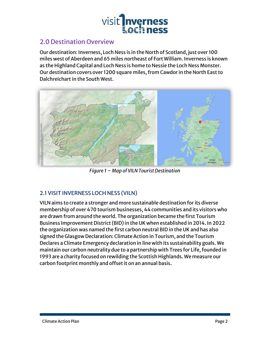

#### <span id="page-6-0"></span>2.0 Destination Overview

Our destination: Inverness, Loch Ness is in the North of Scotland, just over 100 miles west of Aberdeen and 65 miles northeast of Fort William. Inverness is known as the Highland Capital and Loch Ness is home to Nessie the Loch Ness Monster. Our destination covers over 1200 square miles, from Cawdor in the North East to Dalchreichart in the South West.



*Figure 1 – Map of VILN Tourist Destination*

#### <span id="page-6-1"></span>2.1 VISIT INVERNESS LOCH NESS (VILN)

VILN aims to create a stronger and more sustainable destination for its diverse membership of over 470 tourism businesses, 44 communities and its visitors who are drawn from around the world. The organization became the first Tourism Business Improvement District (BID) in the UK when established in 2014. In 2022 the organization was named the first carbon neutral BID in the UK and has also signed the Glasgow Declaration: Climate Action in Tourism, and the Tourism Declares a Climate Emergency declaration in line with its sustainability goals. We maintain our carbon neutrality due to a partnership with Trees for Life, founded in 1993 are a charity focused on rewilding the Scottish Highlands. We measure our carbon footprint monthly and offset it on an annual basis.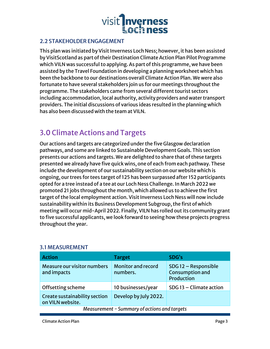

#### <span id="page-7-0"></span>2.2 STAKEHOLDER ENGAGEMENT

This plan was initiated by Visit Inverness Loch Ness; however, it has been assisted by VisitScotland as part of their Destination Climate Action Plan Pilot Programme which VILN was successful to applying. As part of this programme, we have been assisted by the Travel Foundation in developing a planning worksheet which has been the backbone to our destinations overall Climate Action Plan. We were also fortunate to have several stakeholders join us for our meetings throughout the programme. The stakeholders came from several different tourist sectors including accommodation, local authority, activity providers and water transport providers. The initial discussions of various ideas resulted in the planning which has also been discussed with the team at VILN.

#### <span id="page-7-1"></span>3.0 Climate Actions and Targets

Our actions and targets are categorized under the five Glasgow declaration pathways, and some are linked to Sustainable Development Goals. This section presents our actions and targets. We are delighted to share that of these targets presented we already have five quick wins, one of each from each pathway. These include the development of our sustainability section on our website which is ongoing, our trees for tees target of 125 has been surpassed after 152 participants opted for a tree instead of a tee at our Loch Ness Challenge. In March 2022 we promoted 21 jobs throughout the month, which allowed us to achieve the first target of the local employment action. Visit Inverness Loch Ness will now include sustainability within its Business Development Subgroup, the first of which meeting will occur mid-April 2022. Finally, VILN has rolled out its community grant to five successful applicants, we look forward to seeing how these projects progress throughout the year.

| <b>Action</b>                                     | <b>Target</b>                         | SDG's                                                |  |
|---------------------------------------------------|---------------------------------------|------------------------------------------------------|--|
| Measure our visitor numbers<br>and impacts        | <b>Monitor and record</b><br>numbers. | SDG12 - Responsible<br>Consumption and<br>Production |  |
| Offsetting scheme                                 | 10 businesses/year                    | SDG 13 - Climate action                              |  |
| Create sustainability section<br>on VILN website. | Develop by July 2022.                 |                                                      |  |
| Measurement - Summary of actions and targets      |                                       |                                                      |  |

#### <span id="page-7-2"></span>3.1 MEASUREMENT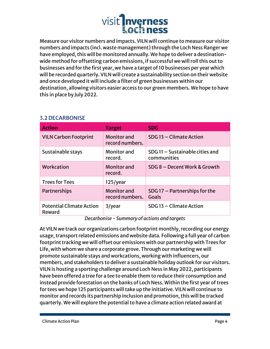

Measure our visitor numbers and impacts. VILN will continue to measure our visitor numbers and impacts (incl. waste management) through the Loch Ness Ranger we have employed, this will be monitored annually. We hope to deliver a destinationwide method for offsetting carbon emissions, if successful we will roll this out to businesses and for the first year, we have a target of 10 businesses per year which will be recorded quarterly. VILN will create a sustainability section on their website and once developed it will include a filter of green businesses within our destination, allowing visitors easier access to our green members. We hope to have this in place by July 2022.

| <b>Action</b>                             | <b>Target</b>                         | <b>SDG</b>                                      |
|-------------------------------------------|---------------------------------------|-------------------------------------------------|
| <b>VILN Carbon Footprint</b>              | <b>Monitor</b> and<br>record numbers. | SDG 13 - Climate Action                         |
| Sustainable stays                         | Monitor and<br>record.                | SDG 11 - Sustainable cities and<br>communities  |
| Workcation                                | <b>Monitor</b> and<br>record.         | SDG 8 - Decent Work & Growth                    |
| <b>Trees for Tees</b>                     | $125$ /year                           |                                                 |
| Partnerships                              | <b>Monitor</b> and<br>record numbers. | SDG 17 $-$ Partnerships for the<br><b>Goals</b> |
| <b>Potential Climate Action</b><br>Reward | 3/year                                | SDG 13 - Climate Action                         |

#### <span id="page-8-0"></span>3.2 DECARBONISE

*Decarbonise - Summary of actions and targets*

At VILN we track our organizations carbon footprint monthly, recording our energy usage, transport related emissions and website data. Following a full year of carbon footprint tracking we will offset our emissions with our partnership with Trees for Life, with whom we share a corporate grove. Through our marketing we will promote sustainable stays and workcations, working with influencers, our members, and stakeholders to deliver a sustainable holiday outlook for our visitors. VILN is hosting a sporting challenge around Loch Ness in May 2022, participants have been offered a tree for a tee to enable them to reduce their consumption and instead provide forestation on the banks of Loch Ness. Within the first year of trees for tees we hope 125 participants will take up the initiative. VILN will continue to monitor and records its partnership inclusion and promotion, this will be tracked quarterly. We will explore the potential to have a climate action related award at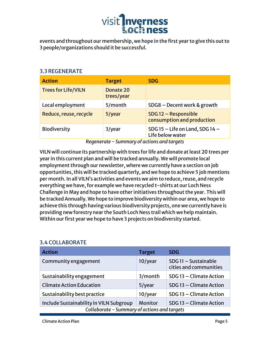

events and throughout our membership, we hope in the first year to give this out to 3 people/organizations should it be successful.

#### <span id="page-9-0"></span>3.3 REGENERATE

| <b>Action</b>              | <b>Target</b>           | <b>SDG</b>                                              |
|----------------------------|-------------------------|---------------------------------------------------------|
| <b>Trees for Life/VILN</b> | Donate 20<br>trees/year |                                                         |
| Local employment           | 5/month                 | SDG8 - Decent work & growth                             |
| Reduce, reuse, recycle     | 5/year                  | SDG 12 - Responsible<br>consumption and production      |
| Biodiversity               | 3/year                  | SDG 15 $-$ Life on Land, SDG 14 $-$<br>Life below water |

*Regenerate - Summary of actions and targets* 

VILN will continue its partnership with trees for life and donate at least 20 trees per year in this current plan and will be tracked annually. We will promote local employment through our newsletter, where we currently have a section on job opportunities, this will be tracked quarterly, and we hope to achieve 5 job mentions per month. In all VILN's activities and events we aim to reduce, reuse, and recycle everything we have, for example we have recycled t-shirts at our Loch Ness Challenge in May and hope to have other initiatives throughout the year. This will be tracked Annually. We hope to improve biodiversity within our area, we hope to achieve this through having various biodiversity projects, one we currently have is providing new forestry near the South Loch Ness trail which we help maintain. Within our first year we hope to have 3 projects on biodiversity started.

| <b>Action</b>                                | <b>Target</b> | <b>SDG</b>                                     |  |
|----------------------------------------------|---------------|------------------------------------------------|--|
| Community engagement                         | 10/year       | SDG 11 - Sustainable<br>cities and communities |  |
| Sustainability engagement                    | 3/month       | SDG 13 - Climate Action                        |  |
| <b>Climate Action Education</b>              | 5/year        | SDG 13 - Climate Action                        |  |
| Sustainability best practice                 | 10/year       | SDG 13 - Climate Action                        |  |
| Include Sustainability in VILN Subgroup      | Monitor       | SDG 13 - Climate Action                        |  |
| Collaborate - Summary of actions and targets |               |                                                |  |

#### <span id="page-9-1"></span>3.4 COLLABORATE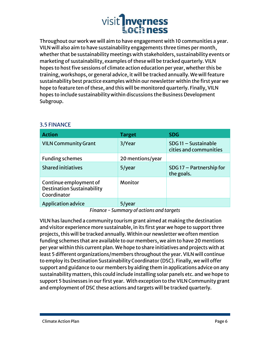### visit *Inverness* **Loch ness**

Throughout our work we will aim to have engagement with 10 communities a year. VILN will also aim to have sustainability engagements three times per month, whether that be sustainability meetings with stakeholders, sustainability events or marketing of sustainability, examples of these will be tracked quarterly. VILN hopes to host five sessions of climate action education per year, whether this be training, workshops, or general advice, it will be tracked annually. We will feature sustainability best practice examples within our newsletter within the first year we hope to feature ten of these, and this will be monitored quarterly. Finally, VILN hopes to include sustainability within discussions the Business Development Subgroup.

| <b>Action</b>                                                              | <b>Target</b>    | <b>SDG</b>                                     |
|----------------------------------------------------------------------------|------------------|------------------------------------------------|
| <b>VILN Community Grant</b>                                                | 3/Year           | SDG 11 - Sustainable<br>cities and communities |
| <b>Funding schemes</b>                                                     | 20 mentions/year |                                                |
| <b>Shared initiatives</b>                                                  | 5/year           | $SDG$ 17 – Partnership for<br>the goals.       |
| Continue employment of<br><b>Destination Sustainability</b><br>Coordinator | Monitor          |                                                |
| <b>Application advice</b>                                                  | 5/year           |                                                |

#### <span id="page-10-0"></span>3.5 FINANCE

*Finance - Summary of actions and targets*

VILN has launched a community tourism grant aimed at making the destination and visitor experience more sustainable, in its first year we hope to support three projects, this will be tracked annually. Within our newsletter we often mention funding schemes that are available to our members, we aim to have 20 mentions per year within this current plan. We hope to share initiatives and projects with at least 5 different organizations/members throughout the year. VILN will continue to employ its Destination Sustainability Coordinator (DSC). Finally, we will offer support and guidance to our members by aiding them in applications advice on any sustainability matters, this could include installing solar panels etc. and we hope to support 5 businesses in our first year. With exception to the VILN Community grant and employment of DSC these actions and targets will be tracked quarterly.